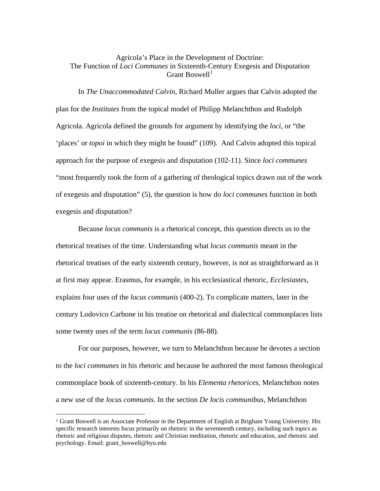## Agricola's Place in the Development of Doctrine: The Function of *Loci Communes* in Sixteenth-Century Exegesis and Disputation Grant Boswell $<sup>1</sup>$  $<sup>1</sup>$  $<sup>1</sup>$ </sup>

 In *The Unaccommodated Calvin*, Richard Muller argues that Calvin adopted the plan for the *Institutes* from the topical model of Philipp Melanchthon and Rudolph Agricola. Agricola defined the grounds for argument by identifying the *loci*, or "the 'places' or *topoi* in which they might be found" (109). And Calvin adopted this topical approach for the purpose of exegesis and disputation (102-11). Since *loci communes* "most frequently took the form of a gathering of theological topics drawn out of the work of exegesis and disputation" (5), the question is how do *loci communes* function in both exegesis and disputation?

 Because *locus communis* is a rhetorical concept, this question directs us to the rhetorical treatises of the time. Understanding what *locus communis* meant in the rhetorical treatises of the early sixteenth century, however, is not as straightforward as it at first may appear. Erasmus, for example, in his ecclesiastical rhetoric, *Ecclesiastes*, explains four uses of the *locus communis* (400-2). To complicate matters, later in the century Lodovico Carbone in his treatise on rhetorical and dialectical commonplaces lists some twenty uses of the term *locus communis* (86-88).

 For our purposes, however, we turn to Melanchthon because he devotes a section to the *loci communes* in his rhetoric and because he authored the most famous theological commonplace book of sixteenth-century. In his *Elementa rhetorices*, Melanchthon notes a new use of the *locus communis*. In the section *De locis communibus*, Melanchthon

 $\overline{a}$ 

<span id="page-0-0"></span><sup>1</sup> Grant Boswell is an Associate Professor in the Department of English at Brigham Young University. His specific research interests focus primarily on rhetoric in the seventeenth century, including such topics as rhetoric and religious disputes, rhetoric and Christian meditation, rhetoric and education, and rhetoric and psychology. Email: [grant\\_boswell@byu.edu](mailto:grant_boswell@byu.edu)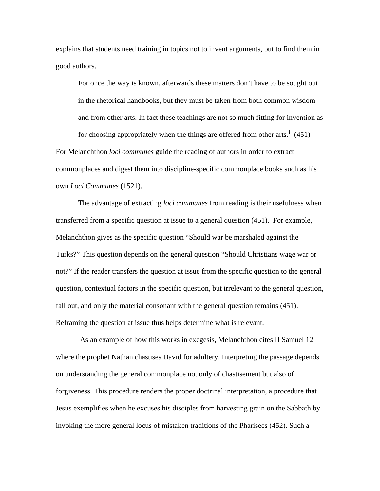explains that students need training in topics not to invent arguments, but to find them in good authors.

For once the way is known, afterwards these matters don't have to be sought out in the rhetorical handbooks, but they must be taken from both common wisdom and from other arts. In fact these teachings are not so much fitting for invention as for choos[i](#page-7-0)ng appropriately when the things are offered from other arts.<sup>i</sup>  $(451)$ 

For Melanchthon *loci communes* guide the reading of authors in order to extract commonplaces and digest them into discipline-specific commonplace books such as his own *Loci Communes* (1521).

 The advantage of extracting *loci communes* from reading is their usefulness when transferred from a specific question at issue to a general question (451). For example, Melanchthon gives as the specific question "Should war be marshaled against the Turks?" This question depends on the general question "Should Christians wage war or not?" If the reader transfers the question at issue from the specific question to the general question, contextual factors in the specific question, but irrelevant to the general question, fall out, and only the material consonant with the general question remains (451). Reframing the question at issue thus helps determine what is relevant.

 As an example of how this works in exegesis, Melanchthon cites II Samuel 12 where the prophet Nathan chastises David for adultery. Interpreting the passage depends on understanding the general commonplace not only of chastisement but also of forgiveness. This procedure renders the proper doctrinal interpretation, a procedure that Jesus exemplifies when he excuses his disciples from harvesting grain on the Sabbath by invoking the more general locus of mistaken traditions of the Pharisees (452). Such a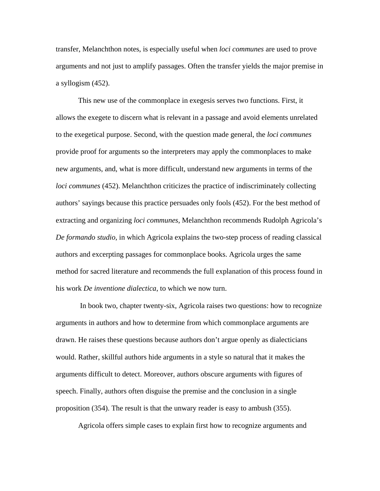transfer, Melanchthon notes, is especially useful when *loci communes* are used to prove arguments and not just to amplify passages. Often the transfer yields the major premise in a syllogism (452).

 This new use of the commonplace in exegesis serves two functions. First, it allows the exegete to discern what is relevant in a passage and avoid elements unrelated to the exegetical purpose. Second, with the question made general, the *loci communes* provide proof for arguments so the interpreters may apply the commonplaces to make new arguments, and, what is more difficult, understand new arguments in terms of the *loci communes* (452). Melanchthon criticizes the practice of indiscriminately collecting authors' sayings because this practice persuades only fools (452). For the best method of extracting and organizing *loci communes*, Melanchthon recommends Rudolph Agricola's *De formando studio*, in which Agricola explains the two-step process of reading classical authors and excerpting passages for commonplace books. Agricola urges the same method for sacred literature and recommends the full explanation of this process found in his work *De inventione dialectica*, to which we now turn.

 In book two, chapter twenty-six, Agricola raises two questions: how to recognize arguments in authors and how to determine from which commonplace arguments are drawn. He raises these questions because authors don't argue openly as dialecticians would. Rather, skillful authors hide arguments in a style so natural that it makes the arguments difficult to detect. Moreover, authors obscure arguments with figures of speech. Finally, authors often disguise the premise and the conclusion in a single proposition (354). The result is that the unwary reader is easy to ambush (355).

Agricola offers simple cases to explain first how to recognize arguments and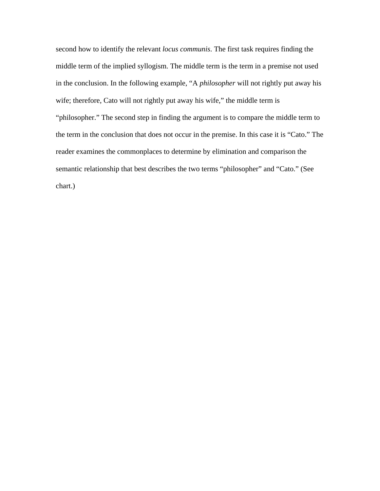second how to identify the relevant *locus communis*. The first task requires finding the middle term of the implied syllogism. The middle term is the term in a premise not used in the conclusion. In the following example, "A *philosopher* will not rightly put away his wife; therefore, Cato will not rightly put away his wife," the middle term is "philosopher." The second step in finding the argument is to compare the middle term to the term in the conclusion that does not occur in the premise. In this case it is "Cato." The reader examines the commonplaces to determine by elimination and comparison the semantic relationship that best describes the two terms "philosopher" and "Cato." (See chart.)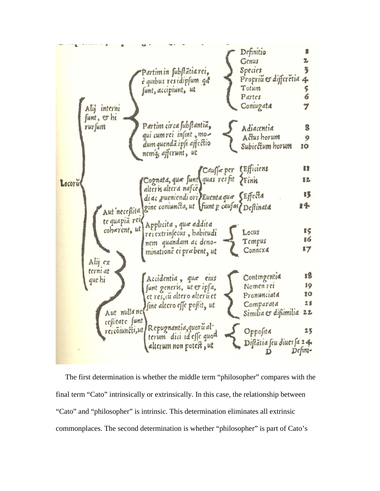| Alij interni<br>funt, or hi   | Partimin substatia rei,<br>e quibus residipsum qd<br>sunt, accipiunt, ut | Definitio<br>Genus<br>$\overline{\overline{}}$<br>Species<br>Propriu & differetia 4<br>Totum<br>5<br>$\overline{6}$<br>Partes<br>Coniugata<br>7 |
|-------------------------------|--------------------------------------------------------------------------|-------------------------------------------------------------------------------------------------------------------------------------------------|
| rursum                        | Partim circa substantia,<br>qui cum rei infint, mo-                      | Adiacentia<br>8                                                                                                                                 |
|                               | dum quenda ipsi affectio<br>nemą afferunt, ut                            | Actus horum<br>9<br>Subicctum horum<br>10                                                                                                       |
|                               |                                                                          | Caussa per L'Efficiens<br>n                                                                                                                     |
| Locoru                        | Cognata, que sunt quas resfit Finis                                      | 显之                                                                                                                                              |
|                               | alteris altera nafce<br>di ac pueniendi ori Euenta qua SEffecta          | 13                                                                                                                                              |
| te quapia rei                 | Aut necessita gine coniuncta, ut Viunt p causas Destinata                | 14                                                                                                                                              |
| coherent, ut                  | Applicita, qua addita<br>rei extrinsecus, habitudi                       | 85<br>Locus                                                                                                                                     |
|                               | nem quandam ac deno-                                                     | 16<br>Tempus                                                                                                                                    |
| Aly ex                        | minatione ci prabent, ut                                                 | 17<br>Connexa                                                                                                                                   |
| terni at<br>que hi            | Accidentia, qua eius                                                     | 18<br>Contingentia                                                                                                                              |
|                               | funt generis, ut & ipfa,                                                 | 19<br>Nomen ret                                                                                                                                 |
|                               | et res, cu altero alteru et                                              | 20<br>Pronunciata<br>28<br>Comparata                                                                                                            |
| Aut nullanct<br>ceßitate sunt | fine altero effe posit, ut                                               | Similia & difimilia<br>22                                                                                                                       |
| reicoiuncti, ut               | Repugnantia, quoru al-                                                   | Opposita<br>25                                                                                                                                  |
|                               | terum dici id effe quod<br>alterum non potest, ut                        | Distatia seu diuer sa 24.<br>Defini-                                                                                                            |

 The first determination is whether the middle term "philosopher" compares with the final term "Cato" intrinsically or extrinsically. In this case, the relationship between "Cato" and "philosopher" is intrinsic. This determination eliminates all extrinsic commonplaces. The second determination is whether "philosopher" is part of Cato's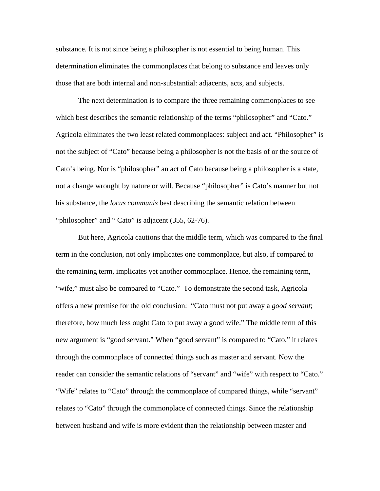substance. It is not since being a philosopher is not essential to being human. This determination eliminates the commonplaces that belong to substance and leaves only those that are both internal and non-substantial: adjacents, acts, and subjects.

 The next determination is to compare the three remaining commonplaces to see which best describes the semantic relationship of the terms "philosopher" and "Cato." Agricola eliminates the two least related commonplaces: subject and act. "Philosopher" is not the subject of "Cato" because being a philosopher is not the basis of or the source of Cato's being. Nor is "philosopher" an act of Cato because being a philosopher is a state, not a change wrought by nature or will. Because "philosopher" is Cato's manner but not his substance, the *locus communis* best describing the semantic relation between "philosopher" and " Cato" is adjacent (355, 62-76).

 But here, Agricola cautions that the middle term, which was compared to the final term in the conclusion, not only implicates one commonplace, but also, if compared to the remaining term, implicates yet another commonplace. Hence, the remaining term, "wife," must also be compared to "Cato." To demonstrate the second task, Agricola offers a new premise for the old conclusion: "Cato must not put away a *good servant*; therefore, how much less ought Cato to put away a good wife." The middle term of this new argument is "good servant." When "good servant" is compared to "Cato," it relates through the commonplace of connected things such as master and servant. Now the reader can consider the semantic relations of "servant" and "wife" with respect to "Cato." "Wife" relates to "Cato" through the commonplace of compared things, while "servant" relates to "Cato" through the commonplace of connected things. Since the relationship between husband and wife is more evident than the relationship between master and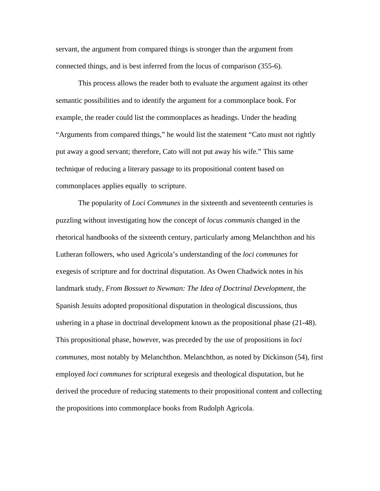servant, the argument from compared things is stronger than the argument from connected things, and is best inferred from the locus of comparison (355-6).

 This process allows the reader both to evaluate the argument against its other semantic possibilities and to identify the argument for a commonplace book. For example, the reader could list the commonplaces as headings. Under the heading "Arguments from compared things," he would list the statement "Cato must not rightly put away a good servant; therefore, Cato will not put away his wife." This same technique of reducing a literary passage to its propositional content based on commonplaces applies equally to scripture.

 The popularity of *Loci Communes* in the sixteenth and seventeenth centuries is puzzling without investigating how the concept of *locus communis* changed in the rhetorical handbooks of the sixteenth century, particularly among Melanchthon and his Lutheran followers, who used Agricola's understanding of the *loci communes* for exegesis of scripture and for doctrinal disputation. As Owen Chadwick notes in his landmark study, *From Bossuet to Newman: The Idea of Doctrinal Development*, the Spanish Jesuits adopted propositional disputation in theological discussions, thus ushering in a phase in doctrinal development known as the propositional phase (21-48). This propositional phase, however, was preceded by the use of propositions in *loci communes*, most notably by Melanchthon. Melanchthon, as noted by Dickinson (54), first employed *loci communes* for scriptural exegesis and theological disputation, but he derived the procedure of reducing statements to their propositional content and collecting the propositions into commonplace books from Rudolph Agricola.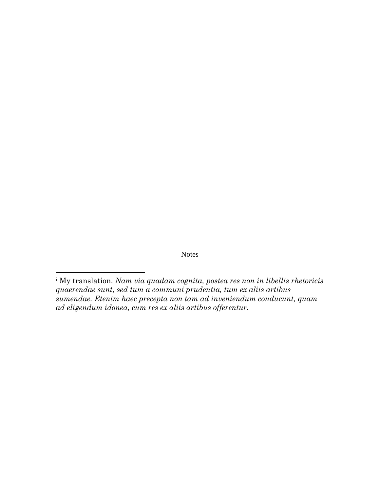Notes

l

<span id="page-7-0"></span>i My translation. *Nam via quadam cognita, postea res non in libellis rhetoricis quaerendae sunt, sed tum a communi prudentia, tum ex aliis artibus sumendae. Etenim haec precepta non tam ad inveniendum conducunt, quam ad eligendum idonea, cum res ex aliis artibus offerentur*.